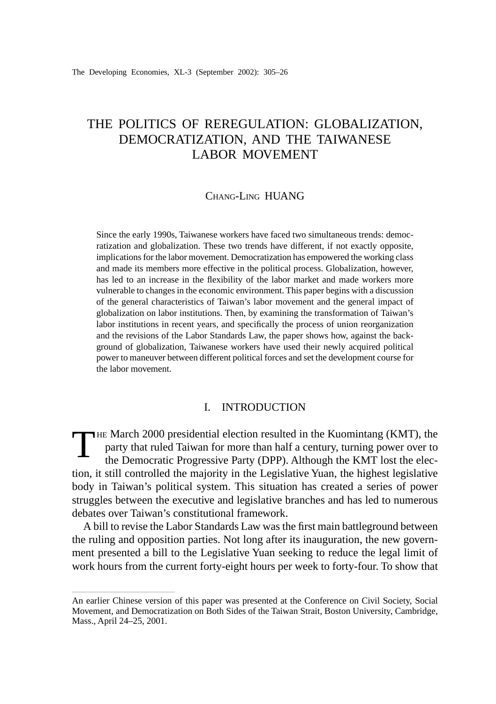# THE POLITICS OF REREGULATION: GLOBALIZATION, DEMOCRATIZATION, AND THE TAIWANESE LABOR MOVEMENT

### CHANG-LING HUANG

Since the early 1990s, Taiwanese workers have faced two simultaneous trends: democratization and globalization. These two trends have different, if not exactly opposite, implications for the labor movement. Democratization has empowered the working class and made its members more effective in the political process. Globalization, however, has led to an increase in the flexibility of the labor market and made workers more vulnerable to changes in the economic environment. This paper begins with a discussion of the general characteristics of Taiwan's labor movement and the general impact of globalization on labor institutions. Then, by examining the transformation of Taiwan's labor institutions in recent years, and specifically the process of union reorganization and the revisions of the Labor Standards Law, the paper shows how, against the background of globalization, Taiwanese workers have used their newly acquired political power to maneuver between different political forces and set the development course for the labor movement.

### I. INTRODUCTION

THE March 2000 presidential election resulted in the Kuomintang (KMT), the party that ruled Taiwan for more than half a century, turning power over to the Democratic Progressive Party (DPP). Although the KMT lost the elecparty that ruled Taiwan for more than half a century, turning power over to the Democratic Progressive Party (DPP). Although the KMT lost the election, it still controlled the majority in the Legislative Yuan, the highest legislative body in Taiwan's political system. This situation has created a series of power struggles between the executive and legislative branches and has led to numerous debates over Taiwan's constitutional framework.

A bill to revise the Labor Standards Law was the first main battleground between the ruling and opposition parties. Not long after its inauguration, the new government presented a bill to the Legislative Yuan seeking to reduce the legal limit of work hours from the current forty-eight hours per week to forty-four. To show that

<sup>––––––––––––––––––––––––––</sup> An earlier Chinese version of this paper was presented at the Conference on Civil Society, Social Movement, and Democratization on Both Sides of the Taiwan Strait, Boston University, Cambridge, Mass., April 24–25, 2001.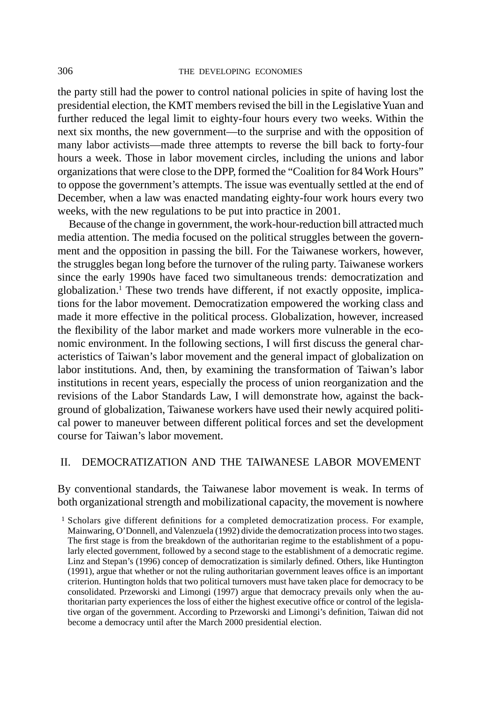the party still had the power to control national policies in spite of having lost the presidential election, the KMT members revised the bill in the Legislative Yuan and further reduced the legal limit to eighty-four hours every two weeks. Within the next six months, the new government—to the surprise and with the opposition of many labor activists—made three attempts to reverse the bill back to forty-four hours a week. Those in labor movement circles, including the unions and labor organizations that were close to the DPP, formed the "Coalition for 84 Work Hours" to oppose the government's attempts. The issue was eventually settled at the end of December, when a law was enacted mandating eighty-four work hours every two weeks, with the new regulations to be put into practice in 2001.

Because of the change in government, the work-hour-reduction bill attracted much media attention. The media focused on the political struggles between the government and the opposition in passing the bill. For the Taiwanese workers, however, the struggles began long before the turnover of the ruling party. Taiwanese workers since the early 1990s have faced two simultaneous trends: democratization and globalization.<sup>1</sup> These two trends have different, if not exactly opposite, implications for the labor movement. Democratization empowered the working class and made it more effective in the political process. Globalization, however, increased the flexibility of the labor market and made workers more vulnerable in the economic environment. In the following sections, I will first discuss the general characteristics of Taiwan's labor movement and the general impact of globalization on labor institutions. And, then, by examining the transformation of Taiwan's labor institutions in recent years, especially the process of union reorganization and the revisions of the Labor Standards Law, I will demonstrate how, against the background of globalization, Taiwanese workers have used their newly acquired political power to maneuver between different political forces and set the development course for Taiwan's labor movement.

## II. DEMOCRATIZATION AND THE TAIWANESE LABOR MOVEMENT

By conventional standards, the Taiwanese labor movement is weak. In terms of both organizational strength and mobilizational capacity, the movement is nowhere

<sup>&</sup>lt;sup>1</sup> Scholars give different definitions for a completed democratization process. For example, Mainwaring, O'Donnell, and Valenzuela (1992) divide the democratization process into two stages. The first stage is from the breakdown of the authoritarian regime to the establishment of a popularly elected government, followed by a second stage to the establishment of a democratic regime. Linz and Stepan's (1996) concep of democratization is similarly defined. Others, like Huntington (1991), argue that whether or not the ruling authoritarian government leaves office is an important criterion. Huntington holds that two political turnovers must have taken place for democracy to be consolidated. Przeworski and Limongi (1997) argue that democracy prevails only when the authoritarian party experiences the loss of either the highest executive office or control of the legislative organ of the government. According to Przeworski and Limongi's definition, Taiwan did not become a democracy until after the March 2000 presidential election.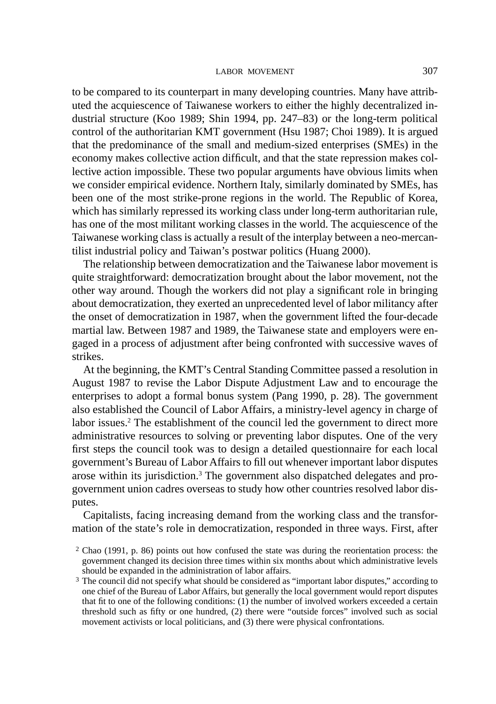to be compared to its counterpart in many developing countries. Many have attributed the acquiescence of Taiwanese workers to either the highly decentralized industrial structure (Koo 1989; Shin 1994, pp. 247–83) or the long-term political control of the authoritarian KMT government (Hsu 1987; Choi 1989). It is argued that the predominance of the small and medium-sized enterprises (SMEs) in the economy makes collective action difficult, and that the state repression makes collective action impossible. These two popular arguments have obvious limits when we consider empirical evidence. Northern Italy, similarly dominated by SMEs, has been one of the most strike-prone regions in the world. The Republic of Korea, which has similarly repressed its working class under long-term authoritarian rule, has one of the most militant working classes in the world. The acquiescence of the Taiwanese working class is actually a result of the interplay between a neo-mercantilist industrial policy and Taiwan's postwar politics (Huang 2000).

The relationship between democratization and the Taiwanese labor movement is quite straightforward: democratization brought about the labor movement, not the other way around. Though the workers did not play a significant role in bringing about democratization, they exerted an unprecedented level of labor militancy after the onset of democratization in 1987, when the government lifted the four-decade martial law. Between 1987 and 1989, the Taiwanese state and employers were engaged in a process of adjustment after being confronted with successive waves of strikes.

At the beginning, the KMT's Central Standing Committee passed a resolution in August 1987 to revise the Labor Dispute Adjustment Law and to encourage the enterprises to adopt a formal bonus system (Pang 1990, p. 28). The government also established the Council of Labor Affairs, a ministry-level agency in charge of labor issues.<sup>2</sup> The establishment of the council led the government to direct more administrative resources to solving or preventing labor disputes. One of the very first steps the council took was to design a detailed questionnaire for each local government's Bureau of Labor Affairs to fill out whenever important labor disputes arose within its jurisdiction.<sup>3</sup> The government also dispatched delegates and progovernment union cadres overseas to study how other countries resolved labor disputes.

Capitalists, facing increasing demand from the working class and the transformation of the state's role in democratization, responded in three ways. First, after

<sup>2</sup> Chao (1991, p. 86) points out how confused the state was during the reorientation process: the government changed its decision three times within six months about which administrative levels should be expanded in the administration of labor affairs.

<sup>3</sup> The council did not specify what should be considered as "important labor disputes," according to one chief of the Bureau of Labor Affairs, but generally the local government would report disputes that fit to one of the following conditions: (1) the number of involved workers exceeded a certain threshold such as fifty or one hundred, (2) there were "outside forces" involved such as social movement activists or local politicians, and (3) there were physical confrontations.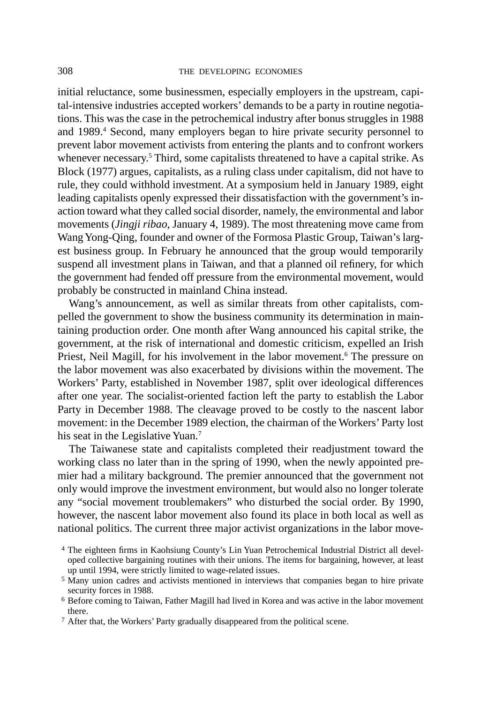initial reluctance, some businessmen, especially employers in the upstream, capital-intensive industries accepted workers' demands to be a party in routine negotiations. This was the case in the petrochemical industry after bonus struggles in 1988 and 1989.<sup>4</sup> Second, many employers began to hire private security personnel to prevent labor movement activists from entering the plants and to confront workers whenever necessary.<sup>5</sup> Third, some capitalists threatened to have a capital strike. As Block (1977) argues, capitalists, as a ruling class under capitalism, did not have to rule, they could withhold investment. At a symposium held in January 1989, eight leading capitalists openly expressed their dissatisfaction with the government's inaction toward what they called social disorder, namely, the environmental and labor movements (*Jingji ribao*, January 4, 1989). The most threatening move came from Wang Yong-Qing, founder and owner of the Formosa Plastic Group, Taiwan's largest business group. In February he announced that the group would temporarily suspend all investment plans in Taiwan, and that a planned oil refinery, for which the government had fended off pressure from the environmental movement, would probably be constructed in mainland China instead.

Wang's announcement, as well as similar threats from other capitalists, compelled the government to show the business community its determination in maintaining production order. One month after Wang announced his capital strike, the government, at the risk of international and domestic criticism, expelled an Irish Priest, Neil Magill, for his involvement in the labor movement.<sup>6</sup> The pressure on the labor movement was also exacerbated by divisions within the movement. The Workers' Party, established in November 1987, split over ideological differences after one year. The socialist-oriented faction left the party to establish the Labor Party in December 1988. The cleavage proved to be costly to the nascent labor movement: in the December 1989 election, the chairman of the Workers' Party lost his seat in the Legislative Yuan.<sup>7</sup>

The Taiwanese state and capitalists completed their readjustment toward the working class no later than in the spring of 1990, when the newly appointed premier had a military background. The premier announced that the government not only would improve the investment environment, but would also no longer tolerate any "social movement troublemakers" who disturbed the social order. By 1990, however, the nascent labor movement also found its place in both local as well as national politics. The current three major activist organizations in the labor move-

<sup>4</sup> The eighteen firms in Kaohsiung County's Lin Yuan Petrochemical Industrial District all developed collective bargaining routines with their unions. The items for bargaining, however, at least up until 1994, were strictly limited to wage-related issues.

<sup>5</sup> Many union cadres and activists mentioned in interviews that companies began to hire private security forces in 1988.

<sup>6</sup> Before coming to Taiwan, Father Magill had lived in Korea and was active in the labor movement there.

<sup>7</sup> After that, the Workers' Party gradually disappeared from the political scene.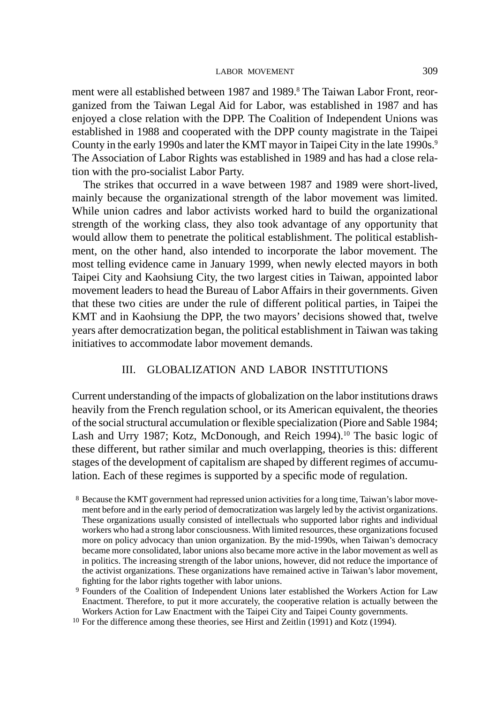ment were all established between 1987 and 1989.<sup>8</sup> The Taiwan Labor Front, reorganized from the Taiwan Legal Aid for Labor, was established in 1987 and has enjoyed a close relation with the DPP. The Coalition of Independent Unions was established in 1988 and cooperated with the DPP county magistrate in the Taipei County in the early 1990s and later the KMT mayor in Taipei City in the late 1990s.<sup>9</sup> The Association of Labor Rights was established in 1989 and has had a close relation with the pro-socialist Labor Party.

The strikes that occurred in a wave between 1987 and 1989 were short-lived, mainly because the organizational strength of the labor movement was limited. While union cadres and labor activists worked hard to build the organizational strength of the working class, they also took advantage of any opportunity that would allow them to penetrate the political establishment. The political establishment, on the other hand, also intended to incorporate the labor movement. The most telling evidence came in January 1999, when newly elected mayors in both Taipei City and Kaohsiung City, the two largest cities in Taiwan, appointed labor movement leaders to head the Bureau of Labor Affairs in their governments. Given that these two cities are under the rule of different political parties, in Taipei the KMT and in Kaohsiung the DPP, the two mayors' decisions showed that, twelve years after democratization began, the political establishment in Taiwan was taking initiatives to accommodate labor movement demands.

### III. GLOBALIZATION AND LABOR INSTITUTIONS

Current understanding of the impacts of globalization on the labor institutions draws heavily from the French regulation school, or its American equivalent, the theories of the social structural accumulation or flexible specialization (Piore and Sable 1984; Lash and Urry 1987; Kotz, McDonough, and Reich 1994).<sup>10</sup> The basic logic of these different, but rather similar and much overlapping, theories is this: different stages of the development of capitalism are shaped by different regimes of accumulation. Each of these regimes is supported by a specific mode of regulation.

<sup>8</sup> Because the KMT government had repressed union activities for a long time, Taiwan's labor movement before and in the early period of democratization was largely led by the activist organizations. These organizations usually consisted of intellectuals who supported labor rights and individual workers who had a strong labor consciousness. With limited resources, these organizations focused more on policy advocacy than union organization. By the mid-1990s, when Taiwan's democracy became more consolidated, labor unions also became more active in the labor movement as well as in politics. The increasing strength of the labor unions, however, did not reduce the importance of the activist organizations. These organizations have remained active in Taiwan's labor movement, fighting for the labor rights together with labor unions.

<sup>9</sup> Founders of the Coalition of Independent Unions later established the Workers Action for Law Enactment. Therefore, to put it more accurately, the cooperative relation is actually between the Workers Action for Law Enactment with the Taipei City and Taipei County governments.

<sup>10</sup> For the difference among these theories, see Hirst and Zeitlin (1991) and Kotz (1994).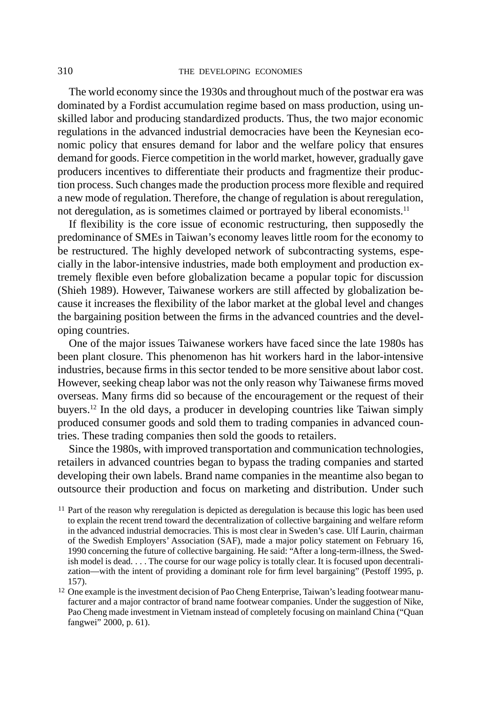The world economy since the 1930s and throughout much of the postwar era was dominated by a Fordist accumulation regime based on mass production, using unskilled labor and producing standardized products. Thus, the two major economic regulations in the advanced industrial democracies have been the Keynesian economic policy that ensures demand for labor and the welfare policy that ensures demand for goods. Fierce competition in the world market, however, gradually gave producers incentives to differentiate their products and fragmentize their production process. Such changes made the production process more flexible and required a new mode of regulation. Therefore, the change of regulation is about reregulation, not deregulation, as is sometimes claimed or portrayed by liberal economists.<sup>11</sup>

If flexibility is the core issue of economic restructuring, then supposedly the predominance of SMEs in Taiwan's economy leaves little room for the economy to be restructured. The highly developed network of subcontracting systems, especially in the labor-intensive industries, made both employment and production extremely flexible even before globalization became a popular topic for discussion (Shieh 1989). However, Taiwanese workers are still affected by globalization because it increases the flexibility of the labor market at the global level and changes the bargaining position between the firms in the advanced countries and the developing countries.

One of the major issues Taiwanese workers have faced since the late 1980s has been plant closure. This phenomenon has hit workers hard in the labor-intensive industries, because firms in this sector tended to be more sensitive about labor cost. However, seeking cheap labor was not the only reason why Taiwanese firms moved overseas. Many firms did so because of the encouragement or the request of their buyers.12 In the old days, a producer in developing countries like Taiwan simply produced consumer goods and sold them to trading companies in advanced countries. These trading companies then sold the goods to retailers.

Since the 1980s, with improved transportation and communication technologies, retailers in advanced countries began to bypass the trading companies and started developing their own labels. Brand name companies in the meantime also began to outsource their production and focus on marketing and distribution. Under such

<sup>&</sup>lt;sup>11</sup> Part of the reason why reregulation is depicted as deregulation is because this logic has been used to explain the recent trend toward the decentralization of collective bargaining and welfare reform in the advanced industrial democracies. This is most clear in Sweden's case. Ulf Laurin, chairman of the Swedish Employers' Association (SAF), made a major policy statement on February 16, 1990 concerning the future of collective bargaining. He said: "After a long-term-illness, the Swedish model is dead. . . . The course for our wage policy is totally clear. It is focused upon decentralization—with the intent of providing a dominant role for firm level bargaining" (Pestoff 1995, p. 157).

<sup>12</sup> One example is the investment decision of Pao Cheng Enterprise, Taiwan's leading footwear manufacturer and a major contractor of brand name footwear companies. Under the suggestion of Nike, Pao Cheng made investment in Vietnam instead of completely focusing on mainland China ("Quan fangwei" 2000, p. 61).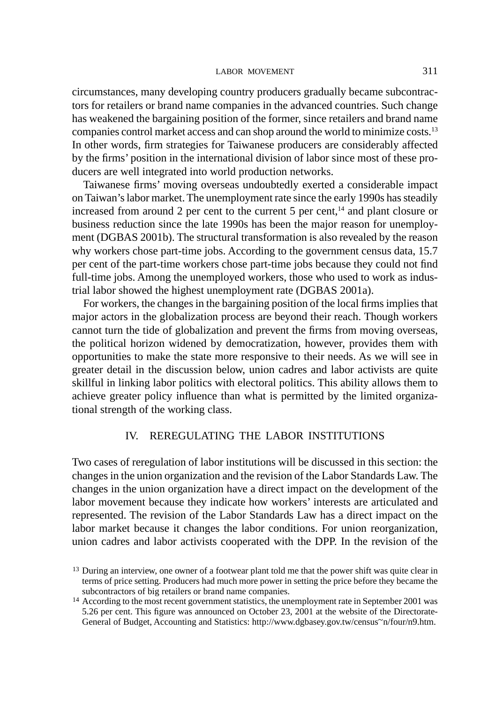circumstances, many developing country producers gradually became subcontractors for retailers or brand name companies in the advanced countries. Such change has weakened the bargaining position of the former, since retailers and brand name companies control market access and can shop around the world to minimize costs.13 In other words, firm strategies for Taiwanese producers are considerably affected by the firms' position in the international division of labor since most of these producers are well integrated into world production networks.

Taiwanese firms' moving overseas undoubtedly exerted a considerable impact on Taiwan's labor market. The unemployment rate since the early 1990s has steadily increased from around 2 per cent to the current 5 per cent, $14$  and plant closure or business reduction since the late 1990s has been the major reason for unemployment (DGBAS 2001b). The structural transformation is also revealed by the reason why workers chose part-time jobs. According to the government census data, 15.7 per cent of the part-time workers chose part-time jobs because they could not find full-time jobs. Among the unemployed workers, those who used to work as industrial labor showed the highest unemployment rate (DGBAS 2001a).

For workers, the changes in the bargaining position of the local firms implies that major actors in the globalization process are beyond their reach. Though workers cannot turn the tide of globalization and prevent the firms from moving overseas, the political horizon widened by democratization, however, provides them with opportunities to make the state more responsive to their needs. As we will see in greater detail in the discussion below, union cadres and labor activists are quite skillful in linking labor politics with electoral politics. This ability allows them to achieve greater policy influence than what is permitted by the limited organizational strength of the working class.

### IV. REREGULATING THE LABOR INSTITUTIONS

Two cases of reregulation of labor institutions will be discussed in this section: the changes in the union organization and the revision of the Labor Standards Law. The changes in the union organization have a direct impact on the development of the labor movement because they indicate how workers' interests are articulated and represented. The revision of the Labor Standards Law has a direct impact on the labor market because it changes the labor conditions. For union reorganization, union cadres and labor activists cooperated with the DPP. In the revision of the

<sup>&</sup>lt;sup>13</sup> During an interview, one owner of a footwear plant told me that the power shift was quite clear in terms of price setting. Producers had much more power in setting the price before they became the subcontractors of big retailers or brand name companies.

<sup>&</sup>lt;sup>14</sup> According to the most recent government statistics, the unemployment rate in September 2001 was 5.26 per cent. This figure was announced on October 23, 2001 at the website of the Directorate-General of Budget, Accounting and Statistics: http://www.dgbasey.gov.tw/census~n/four/n9.htm.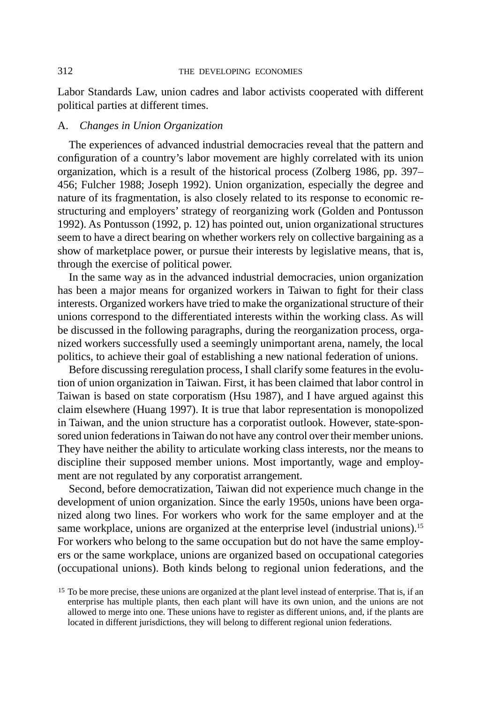Labor Standards Law, union cadres and labor activists cooperated with different political parties at different times.

### A. *Changes in Union Organization*

The experiences of advanced industrial democracies reveal that the pattern and configuration of a country's labor movement are highly correlated with its union organization, which is a result of the historical process (Zolberg 1986, pp. 397– 456; Fulcher 1988; Joseph 1992). Union organization, especially the degree and nature of its fragmentation, is also closely related to its response to economic restructuring and employers' strategy of reorganizing work (Golden and Pontusson 1992). As Pontusson (1992, p. 12) has pointed out, union organizational structures seem to have a direct bearing on whether workers rely on collective bargaining as a show of marketplace power, or pursue their interests by legislative means, that is, through the exercise of political power.

In the same way as in the advanced industrial democracies, union organization has been a major means for organized workers in Taiwan to fight for their class interests. Organized workers have tried to make the organizational structure of their unions correspond to the differentiated interests within the working class. As will be discussed in the following paragraphs, during the reorganization process, organized workers successfully used a seemingly unimportant arena, namely, the local politics, to achieve their goal of establishing a new national federation of unions.

Before discussing reregulation process, I shall clarify some features in the evolution of union organization in Taiwan. First, it has been claimed that labor control in Taiwan is based on state corporatism (Hsu 1987), and I have argued against this claim elsewhere (Huang 1997). It is true that labor representation is monopolized in Taiwan, and the union structure has a corporatist outlook. However, state-sponsored union federations in Taiwan do not have any control over their member unions. They have neither the ability to articulate working class interests, nor the means to discipline their supposed member unions. Most importantly, wage and employment are not regulated by any corporatist arrangement.

Second, before democratization, Taiwan did not experience much change in the development of union organization. Since the early 1950s, unions have been organized along two lines. For workers who work for the same employer and at the same workplace, unions are organized at the enterprise level (industrial unions).<sup>15</sup> For workers who belong to the same occupation but do not have the same employers or the same workplace, unions are organized based on occupational categories (occupational unions). Both kinds belong to regional union federations, and the

<sup>&</sup>lt;sup>15</sup> To be more precise, these unions are organized at the plant level instead of enterprise. That is, if an enterprise has multiple plants, then each plant will have its own union, and the unions are not allowed to merge into one. These unions have to register as different unions, and, if the plants are located in different jurisdictions, they will belong to different regional union federations.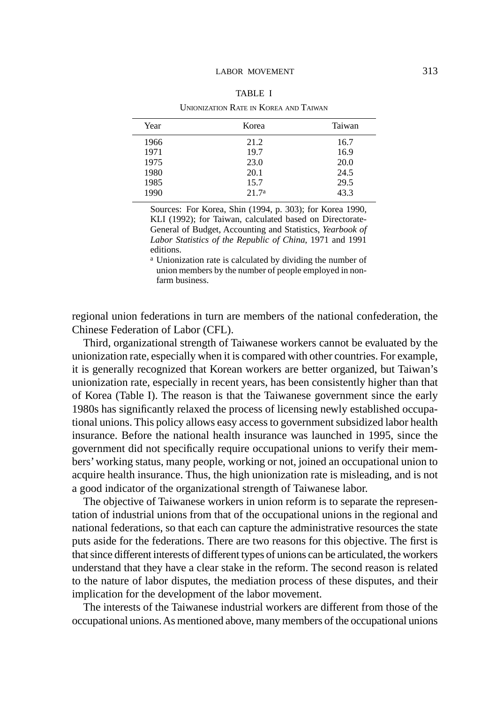| $\sigma$          |        |
|-------------------|--------|
| Korea             | Taiwan |
| 21.2              | 16.7   |
| 19.7              | 16.9   |
| 23.0              | 20.0   |
| 20.1              | 24.5   |
| 15.7              | 29.5   |
| 21.7 <sup>a</sup> | 43.3   |
|                   |        |

| n<br>ш<br>í |  |
|-------------|--|
|-------------|--|

UNIONIZATION RATE IN KOREA AND TAIWAN

Sources: For Korea, Shin (1994, p. 303); for Korea 1990, KLI (1992); for Taiwan, calculated based on Directorate-General of Budget, Accounting and Statistics, *Yearbook of Labor Statistics of the Republic of China*, 1971 and 1991 editions.

<sup>a</sup> Unionization rate is calculated by dividing the number of union members by the number of people employed in nonfarm business.

regional union federations in turn are members of the national confederation, the Chinese Federation of Labor (CFL).

Third, organizational strength of Taiwanese workers cannot be evaluated by the unionization rate, especially when it is compared with other countries. For example, it is generally recognized that Korean workers are better organized, but Taiwan's unionization rate, especially in recent years, has been consistently higher than that of Korea (Table I). The reason is that the Taiwanese government since the early 1980s has significantly relaxed the process of licensing newly established occupational unions. This policy allows easy access to government subsidized labor health insurance. Before the national health insurance was launched in 1995, since the government did not specifically require occupational unions to verify their members' working status, many people, working or not, joined an occupational union to acquire health insurance. Thus, the high unionization rate is misleading, and is not a good indicator of the organizational strength of Taiwanese labor.

The objective of Taiwanese workers in union reform is to separate the representation of industrial unions from that of the occupational unions in the regional and national federations, so that each can capture the administrative resources the state puts aside for the federations. There are two reasons for this objective. The first is that since different interests of different types of unions can be articulated, the workers understand that they have a clear stake in the reform. The second reason is related to the nature of labor disputes, the mediation process of these disputes, and their implication for the development of the labor movement.

The interests of the Taiwanese industrial workers are different from those of the occupational unions. As mentioned above, many members of the occupational unions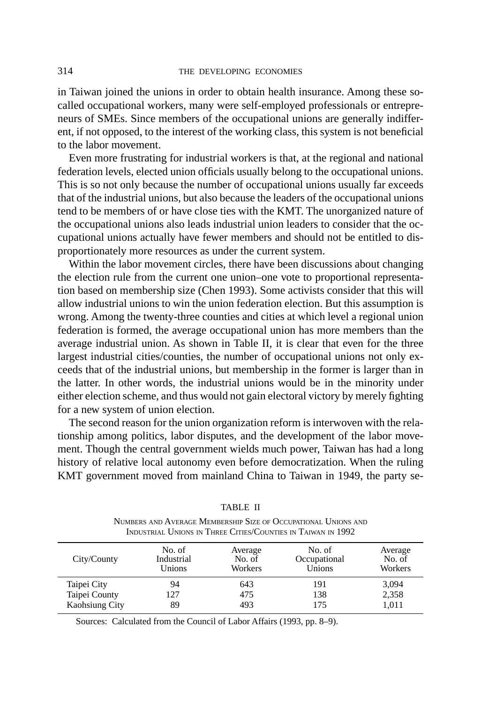in Taiwan joined the unions in order to obtain health insurance. Among these socalled occupational workers, many were self-employed professionals or entrepreneurs of SMEs. Since members of the occupational unions are generally indifferent, if not opposed, to the interest of the working class, this system is not beneficial to the labor movement.

Even more frustrating for industrial workers is that, at the regional and national federation levels, elected union officials usually belong to the occupational unions. This is so not only because the number of occupational unions usually far exceeds that of the industrial unions, but also because the leaders of the occupational unions tend to be members of or have close ties with the KMT. The unorganized nature of the occupational unions also leads industrial union leaders to consider that the occupational unions actually have fewer members and should not be entitled to disproportionately more resources as under the current system.

Within the labor movement circles, there have been discussions about changing the election rule from the current one union–one vote to proportional representation based on membership size (Chen 1993). Some activists consider that this will allow industrial unions to win the union federation election. But this assumption is wrong. Among the twenty-three counties and cities at which level a regional union federation is formed, the average occupational union has more members than the average industrial union. As shown in Table II, it is clear that even for the three largest industrial cities/counties, the number of occupational unions not only exceeds that of the industrial unions, but membership in the former is larger than in the latter. In other words, the industrial unions would be in the minority under either election scheme, and thus would not gain electoral victory by merely fighting for a new system of union election.

The second reason for the union organization reform is interwoven with the relationship among politics, labor disputes, and the development of the labor movement. Though the central government wields much power, Taiwan has had a long history of relative local autonomy even before democratization. When the ruling KMT government moved from mainland China to Taiwan in 1949, the party se-

| INDOSTRIAL OTNONS IN THREE CHILS/COUNTIES IN TAIWAN IN 1772 |                                |                              |                                  |                              |  |
|-------------------------------------------------------------|--------------------------------|------------------------------|----------------------------------|------------------------------|--|
| City/County                                                 | No. of<br>Industrial<br>Unions | Average<br>No. of<br>Workers | No. of<br>Occupational<br>Unions | Average<br>No. of<br>Workers |  |
| Taipei City                                                 | 94                             | 643                          | 191                              | 3,094                        |  |
| Taipei County                                               | 127                            | 475                          | 138                              | 2,358                        |  |
| Kaohsiung City                                              | 89                             | 493                          | 175                              | 1,011                        |  |

TABLE II

NUMBERS AND AVERAGE MEMBERSHIP SIZE OF OCCUPATIONAL UNIONS AND INDUSTRIAL UNIONS IN THREE CITIES/COUNTIES IN TAIWAN IN 1992

Sources: Calculated from the Council of Labor Affairs (1993, pp. 8–9).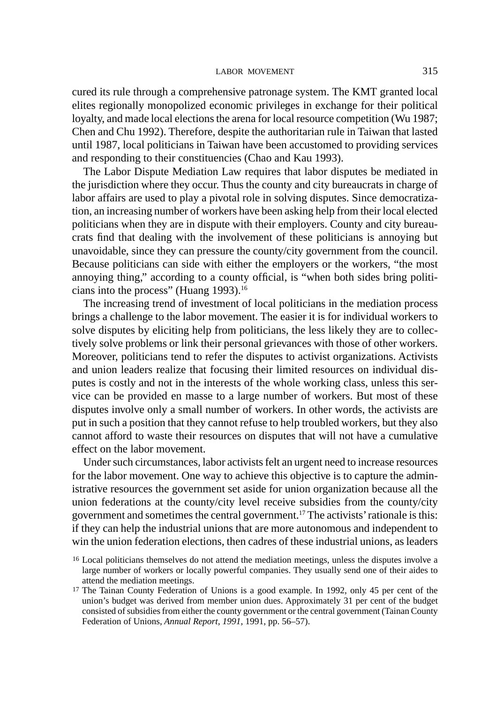cured its rule through a comprehensive patronage system. The KMT granted local elites regionally monopolized economic privileges in exchange for their political loyalty, and made local elections the arena for local resource competition (Wu 1987; Chen and Chu 1992). Therefore, despite the authoritarian rule in Taiwan that lasted until 1987, local politicians in Taiwan have been accustomed to providing services and responding to their constituencies (Chao and Kau 1993).

The Labor Dispute Mediation Law requires that labor disputes be mediated in the jurisdiction where they occur. Thus the county and city bureaucrats in charge of labor affairs are used to play a pivotal role in solving disputes. Since democratization, an increasing number of workers have been asking help from their local elected politicians when they are in dispute with their employers. County and city bureaucrats find that dealing with the involvement of these politicians is annoying but unavoidable, since they can pressure the county/city government from the council. Because politicians can side with either the employers or the workers, "the most annoying thing," according to a county official, is "when both sides bring politicians into the process" (Huang 1993).<sup>16</sup>

The increasing trend of investment of local politicians in the mediation process brings a challenge to the labor movement. The easier it is for individual workers to solve disputes by eliciting help from politicians, the less likely they are to collectively solve problems or link their personal grievances with those of other workers. Moreover, politicians tend to refer the disputes to activist organizations. Activists and union leaders realize that focusing their limited resources on individual disputes is costly and not in the interests of the whole working class, unless this service can be provided en masse to a large number of workers. But most of these disputes involve only a small number of workers. In other words, the activists are put in such a position that they cannot refuse to help troubled workers, but they also cannot afford to waste their resources on disputes that will not have a cumulative effect on the labor movement.

Under such circumstances, labor activists felt an urgent need to increase resources for the labor movement. One way to achieve this objective is to capture the administrative resources the government set aside for union organization because all the union federations at the county/city level receive subsidies from the county/city government and sometimes the central government.17 The activists' rationale is this: if they can help the industrial unions that are more autonomous and independent to win the union federation elections, then cadres of these industrial unions, as leaders

<sup>&</sup>lt;sup>16</sup> Local politicians themselves do not attend the mediation meetings, unless the disputes involve a large number of workers or locally powerful companies. They usually send one of their aides to attend the mediation meetings.

<sup>&</sup>lt;sup>17</sup> The Tainan County Federation of Unions is a good example. In 1992, only 45 per cent of the union's budget was derived from member union dues. Approximately 31 per cent of the budget consisted of subsidies from either the county government or the central government (Tainan County Federation of Unions, *Annual Report, 1991*, 1991, pp. 56–57).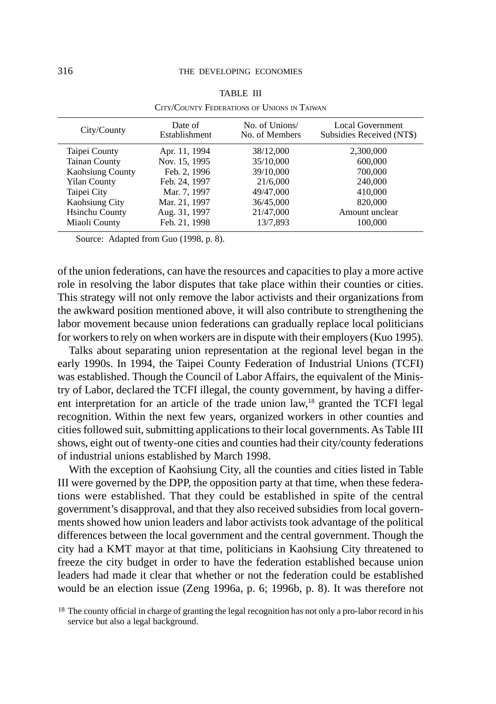| City/County             | Date of<br>Establishment | No. of Unions/<br>No. of Members | <b>Local Government</b><br>Subsidies Received (NT\$) |
|-------------------------|--------------------------|----------------------------------|------------------------------------------------------|
| Taipei County           | Apr. 11, 1994            | 38/12,000                        | 2,300,000                                            |
| <b>Tainan County</b>    | Nov. 15, 1995            | 35/10,000                        | 600,000                                              |
| <b>Kaohsiung County</b> | Feb. 2, 1996             | 39/10,000                        | 700,000                                              |
| <b>Yilan County</b>     | Feb. 24, 1997            | 21/6,000                         | 240,000                                              |
| Taipei City             | Mar. 7, 1997             | 49/47,000                        | 410,000                                              |
| <b>Kaohsiung City</b>   | Mar. 21, 1997            | 36/45,000                        | 820,000                                              |
| <b>Hsinchu County</b>   | Aug. 31, 1997            | 21/47,000                        | Amount unclear                                       |
| Miaoli County           | Feb. 21, 1998            | 13/7,893                         | 100,000                                              |

CITY/COUNTY FEDERATIONS OF UNIONS IN TAIWAN

Source: Adapted from Guo (1998, p. 8).

of the union federations, can have the resources and capacities to play a more active role in resolving the labor disputes that take place within their counties or cities. This strategy will not only remove the labor activists and their organizations from the awkward position mentioned above, it will also contribute to strengthening the labor movement because union federations can gradually replace local politicians for workers to rely on when workers are in dispute with their employers (Kuo 1995).

Talks about separating union representation at the regional level began in the early 1990s. In 1994, the Taipei County Federation of Industrial Unions (TCFI) was established. Though the Council of Labor Affairs, the equivalent of the Ministry of Labor, declared the TCFI illegal, the county government, by having a different interpretation for an article of the trade union law,<sup>18</sup> granted the TCFI legal recognition. Within the next few years, organized workers in other counties and cities followed suit, submitting applications to their local governments. As Table III shows, eight out of twenty-one cities and counties had their city/county federations of industrial unions established by March 1998.

With the exception of Kaohsiung City, all the counties and cities listed in Table III were governed by the DPP, the opposition party at that time, when these federations were established. That they could be established in spite of the central government's disapproval, and that they also received subsidies from local governments showed how union leaders and labor activists took advantage of the political differences between the local government and the central government. Though the city had a KMT mayor at that time, politicians in Kaohsiung City threatened to freeze the city budget in order to have the federation established because union leaders had made it clear that whether or not the federation could be established would be an election issue (Zeng 1996a, p. 6; 1996b, p. 8). It was therefore not

<sup>&</sup>lt;sup>18</sup> The county official in charge of granting the legal recognition has not only a pro-labor record in his service but also a legal background.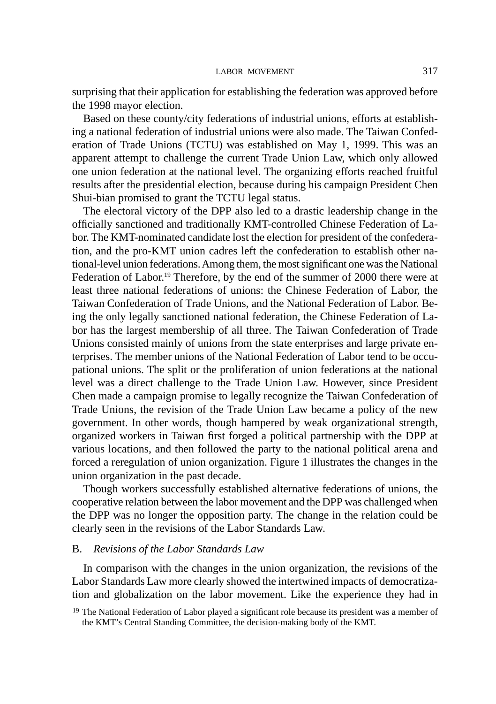surprising that their application for establishing the federation was approved before the 1998 mayor election.

Based on these county/city federations of industrial unions, efforts at establishing a national federation of industrial unions were also made. The Taiwan Confederation of Trade Unions (TCTU) was established on May 1, 1999. This was an apparent attempt to challenge the current Trade Union Law, which only allowed one union federation at the national level. The organizing efforts reached fruitful results after the presidential election, because during his campaign President Chen Shui-bian promised to grant the TCTU legal status.

The electoral victory of the DPP also led to a drastic leadership change in the officially sanctioned and traditionally KMT-controlled Chinese Federation of Labor. The KMT-nominated candidate lost the election for president of the confederation, and the pro-KMT union cadres left the confederation to establish other national-level union federations. Among them, the most significant one was the National Federation of Labor.<sup>19</sup> Therefore, by the end of the summer of 2000 there were at least three national federations of unions: the Chinese Federation of Labor, the Taiwan Confederation of Trade Unions, and the National Federation of Labor. Being the only legally sanctioned national federation, the Chinese Federation of Labor has the largest membership of all three. The Taiwan Confederation of Trade Unions consisted mainly of unions from the state enterprises and large private enterprises. The member unions of the National Federation of Labor tend to be occupational unions. The split or the proliferation of union federations at the national level was a direct challenge to the Trade Union Law. However, since President Chen made a campaign promise to legally recognize the Taiwan Confederation of Trade Unions, the revision of the Trade Union Law became a policy of the new government. In other words, though hampered by weak organizational strength, organized workers in Taiwan first forged a political partnership with the DPP at various locations, and then followed the party to the national political arena and forced a reregulation of union organization. Figure 1 illustrates the changes in the union organization in the past decade.

Though workers successfully established alternative federations of unions, the cooperative relation between the labor movement and the DPP was challenged when the DPP was no longer the opposition party. The change in the relation could be clearly seen in the revisions of the Labor Standards Law.

#### B. *Revisions of the Labor Standards Law*

In comparison with the changes in the union organization, the revisions of the Labor Standards Law more clearly showed the intertwined impacts of democratization and globalization on the labor movement. Like the experience they had in

<sup>19</sup> The National Federation of Labor played a significant role because its president was a member of the KMT's Central Standing Committee, the decision-making body of the KMT.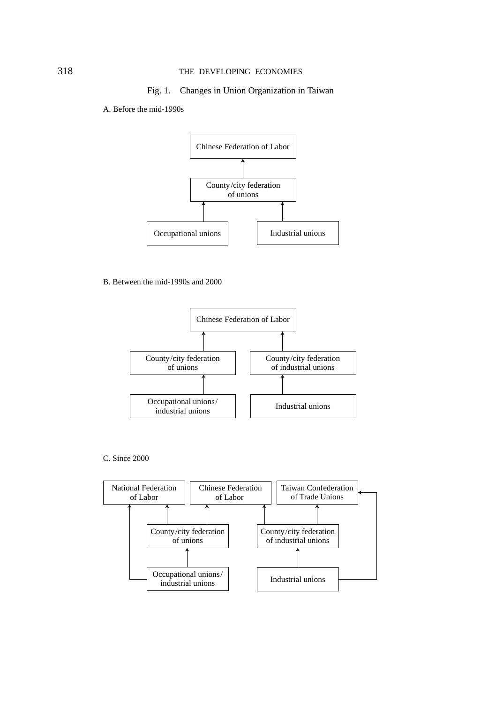#### 318 THE DEVELOPING ECONOMIES

#### Fig. 1. Changes in Union Organization in Taiwan

A. Before the mid-1990s



#### B. Between the mid-1990s and 2000



C. Since 2000

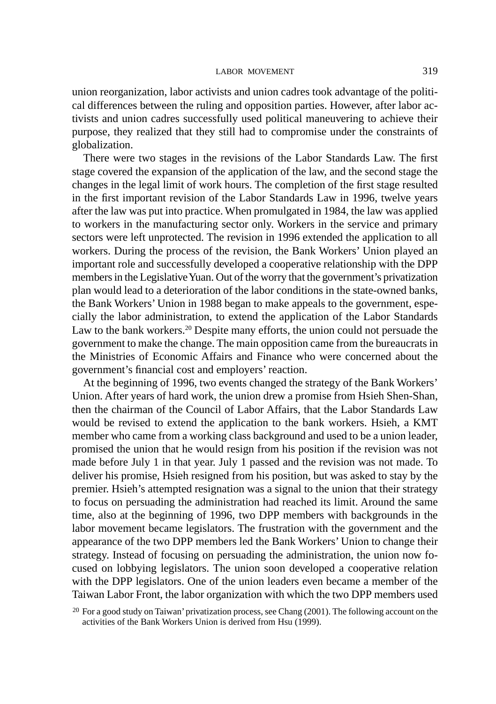#### LABOR MOVEMENT 319

union reorganization, labor activists and union cadres took advantage of the political differences between the ruling and opposition parties. However, after labor activists and union cadres successfully used political maneuvering to achieve their purpose, they realized that they still had to compromise under the constraints of globalization.

There were two stages in the revisions of the Labor Standards Law. The first stage covered the expansion of the application of the law, and the second stage the changes in the legal limit of work hours. The completion of the first stage resulted in the first important revision of the Labor Standards Law in 1996, twelve years after the law was put into practice. When promulgated in 1984, the law was applied to workers in the manufacturing sector only. Workers in the service and primary sectors were left unprotected. The revision in 1996 extended the application to all workers. During the process of the revision, the Bank Workers' Union played an important role and successfully developed a cooperative relationship with the DPP members in the Legislative Yuan. Out of the worry that the government's privatization plan would lead to a deterioration of the labor conditions in the state-owned banks, the Bank Workers' Union in 1988 began to make appeals to the government, especially the labor administration, to extend the application of the Labor Standards Law to the bank workers.<sup>20</sup> Despite many efforts, the union could not persuade the government to make the change. The main opposition came from the bureaucrats in the Ministries of Economic Affairs and Finance who were concerned about the government's financial cost and employers' reaction.

At the beginning of 1996, two events changed the strategy of the Bank Workers' Union. After years of hard work, the union drew a promise from Hsieh Shen-Shan, then the chairman of the Council of Labor Affairs, that the Labor Standards Law would be revised to extend the application to the bank workers. Hsieh, a KMT member who came from a working class background and used to be a union leader, promised the union that he would resign from his position if the revision was not made before July 1 in that year. July 1 passed and the revision was not made. To deliver his promise, Hsieh resigned from his position, but was asked to stay by the premier. Hsieh's attempted resignation was a signal to the union that their strategy to focus on persuading the administration had reached its limit. Around the same time, also at the beginning of 1996, two DPP members with backgrounds in the labor movement became legislators. The frustration with the government and the appearance of the two DPP members led the Bank Workers' Union to change their strategy. Instead of focusing on persuading the administration, the union now focused on lobbying legislators. The union soon developed a cooperative relation with the DPP legislators. One of the union leaders even became a member of the Taiwan Labor Front, the labor organization with which the two DPP members used

<sup>20</sup> For a good study on Taiwan' privatization process, see Chang (2001). The following account on the activities of the Bank Workers Union is derived from Hsu (1999).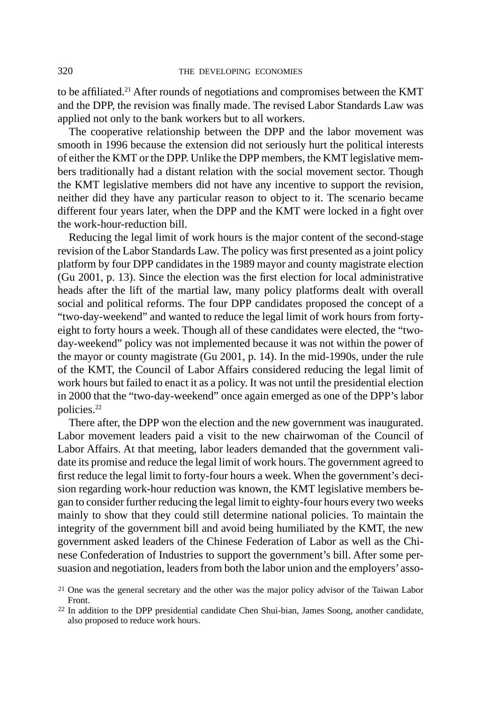to be affiliated.21 After rounds of negotiations and compromises between the KMT and the DPP, the revision was finally made. The revised Labor Standards Law was applied not only to the bank workers but to all workers.

The cooperative relationship between the DPP and the labor movement was smooth in 1996 because the extension did not seriously hurt the political interests of either the KMT or the DPP. Unlike the DPP members, the KMT legislative members traditionally had a distant relation with the social movement sector. Though the KMT legislative members did not have any incentive to support the revision, neither did they have any particular reason to object to it. The scenario became different four years later, when the DPP and the KMT were locked in a fight over the work-hour-reduction bill.

Reducing the legal limit of work hours is the major content of the second-stage revision of the Labor Standards Law. The policy was first presented as a joint policy platform by four DPP candidates in the 1989 mayor and county magistrate election (Gu 2001, p. 13). Since the election was the first election for local administrative heads after the lift of the martial law, many policy platforms dealt with overall social and political reforms. The four DPP candidates proposed the concept of a "two-day-weekend" and wanted to reduce the legal limit of work hours from fortyeight to forty hours a week. Though all of these candidates were elected, the "twoday-weekend" policy was not implemented because it was not within the power of the mayor or county magistrate (Gu 2001, p. 14). In the mid-1990s, under the rule of the KMT, the Council of Labor Affairs considered reducing the legal limit of work hours but failed to enact it as a policy. It was not until the presidential election in 2000 that the "two-day-weekend" once again emerged as one of the DPP's labor policies.22

There after, the DPP won the election and the new government was inaugurated. Labor movement leaders paid a visit to the new chairwoman of the Council of Labor Affairs. At that meeting, labor leaders demanded that the government validate its promise and reduce the legal limit of work hours. The government agreed to first reduce the legal limit to forty-four hours a week. When the government's decision regarding work-hour reduction was known, the KMT legislative members began to consider further reducing the legal limit to eighty-four hours every two weeks mainly to show that they could still determine national policies. To maintain the integrity of the government bill and avoid being humiliated by the KMT, the new government asked leaders of the Chinese Federation of Labor as well as the Chinese Confederation of Industries to support the government's bill. After some persuasion and negotiation, leaders from both the labor union and the employers' asso-

 $21$  One was the general secretary and the other was the major policy advisor of the Taiwan Labor Front.

<sup>22</sup> In addition to the DPP presidential candidate Chen Shui-bian, James Soong, another candidate, also proposed to reduce work hours.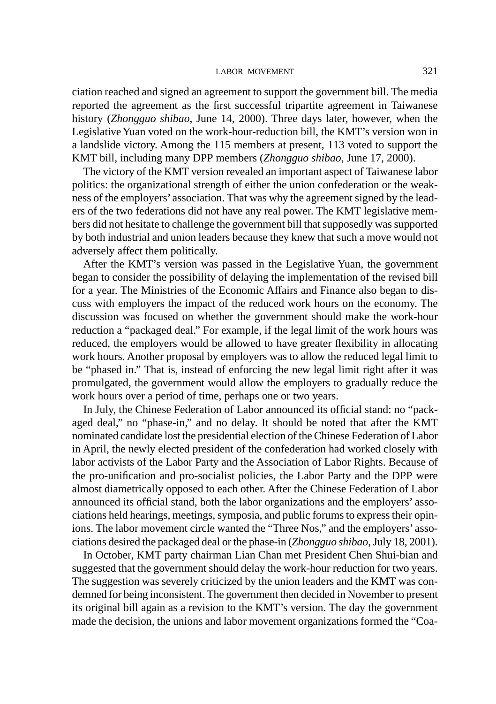#### LABOR MOVEMENT 321

ciation reached and signed an agreement to support the government bill. The media reported the agreement as the first successful tripartite agreement in Taiwanese history (*Zhongguo shibao*, June 14, 2000). Three days later, however, when the Legislative Yuan voted on the work-hour-reduction bill, the KMT's version won in a landslide victory. Among the 115 members at present, 113 voted to support the KMT bill, including many DPP members (*Zhongguo shibao*, June 17, 2000).

The victory of the KMT version revealed an important aspect of Taiwanese labor politics: the organizational strength of either the union confederation or the weakness of the employers' association. That was why the agreement signed by the leaders of the two federations did not have any real power. The KMT legislative members did not hesitate to challenge the government bill that supposedly was supported by both industrial and union leaders because they knew that such a move would not adversely affect them politically.

After the KMT's version was passed in the Legislative Yuan, the government began to consider the possibility of delaying the implementation of the revised bill for a year. The Ministries of the Economic Affairs and Finance also began to discuss with employers the impact of the reduced work hours on the economy. The discussion was focused on whether the government should make the work-hour reduction a "packaged deal." For example, if the legal limit of the work hours was reduced, the employers would be allowed to have greater flexibility in allocating work hours. Another proposal by employers was to allow the reduced legal limit to be "phased in." That is, instead of enforcing the new legal limit right after it was promulgated, the government would allow the employers to gradually reduce the work hours over a period of time, perhaps one or two years.

In July, the Chinese Federation of Labor announced its official stand: no "packaged deal," no "phase-in," and no delay. It should be noted that after the KMT nominated candidate lost the presidential election of the Chinese Federation of Labor in April, the newly elected president of the confederation had worked closely with labor activists of the Labor Party and the Association of Labor Rights. Because of the pro-unification and pro-socialist policies, the Labor Party and the DPP were almost diametrically opposed to each other. After the Chinese Federation of Labor announced its official stand, both the labor organizations and the employers' associations held hearings, meetings, symposia, and public forums to express their opinions. The labor movement circle wanted the "Three Nos," and the employers' associations desired the packaged deal or the phase-in (*Zhongguo shibao*, July 18, 2001).

In October, KMT party chairman Lian Chan met President Chen Shui-bian and suggested that the government should delay the work-hour reduction for two years. The suggestion was severely criticized by the union leaders and the KMT was condemned for being inconsistent. The government then decided in November to present its original bill again as a revision to the KMT's version. The day the government made the decision, the unions and labor movement organizations formed the "Coa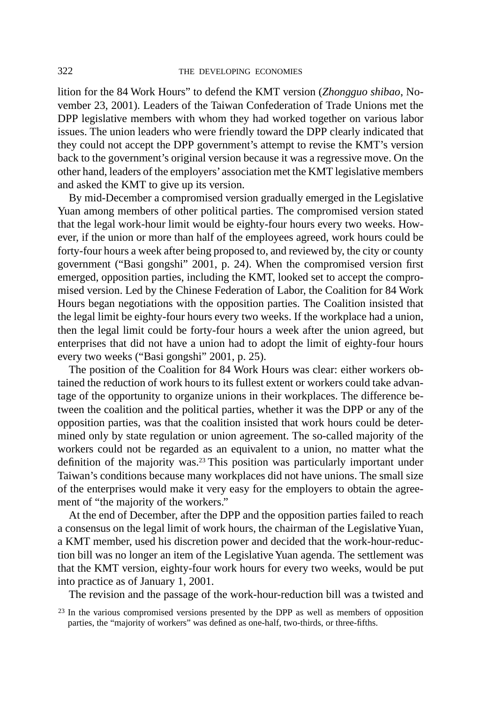lition for the 84 Work Hours" to defend the KMT version (*Zhongguo shibao*, November 23, 2001). Leaders of the Taiwan Confederation of Trade Unions met the DPP legislative members with whom they had worked together on various labor issues. The union leaders who were friendly toward the DPP clearly indicated that they could not accept the DPP government's attempt to revise the KMT's version back to the government's original version because it was a regressive move. On the other hand, leaders of the employers' association met the KMT legislative members and asked the KMT to give up its version.

By mid-December a compromised version gradually emerged in the Legislative Yuan among members of other political parties. The compromised version stated that the legal work-hour limit would be eighty-four hours every two weeks. However, if the union or more than half of the employees agreed, work hours could be forty-four hours a week after being proposed to, and reviewed by, the city or county government ("Basi gongshi" 2001, p. 24). When the compromised version first emerged, opposition parties, including the KMT, looked set to accept the compromised version. Led by the Chinese Federation of Labor, the Coalition for 84 Work Hours began negotiations with the opposition parties. The Coalition insisted that the legal limit be eighty-four hours every two weeks. If the workplace had a union, then the legal limit could be forty-four hours a week after the union agreed, but enterprises that did not have a union had to adopt the limit of eighty-four hours every two weeks ("Basi gongshi" 2001, p. 25).

The position of the Coalition for 84 Work Hours was clear: either workers obtained the reduction of work hours to its fullest extent or workers could take advantage of the opportunity to organize unions in their workplaces. The difference between the coalition and the political parties, whether it was the DPP or any of the opposition parties, was that the coalition insisted that work hours could be determined only by state regulation or union agreement. The so-called majority of the workers could not be regarded as an equivalent to a union, no matter what the definition of the majority was.23 This position was particularly important under Taiwan's conditions because many workplaces did not have unions. The small size of the enterprises would make it very easy for the employers to obtain the agreement of "the majority of the workers."

At the end of December, after the DPP and the opposition parties failed to reach a consensus on the legal limit of work hours, the chairman of the Legislative Yuan, a KMT member, used his discretion power and decided that the work-hour-reduction bill was no longer an item of the Legislative Yuan agenda. The settlement was that the KMT version, eighty-four work hours for every two weeks, would be put into practice as of January 1, 2001.

The revision and the passage of the work-hour-reduction bill was a twisted and

<sup>&</sup>lt;sup>23</sup> In the various compromised versions presented by the DPP as well as members of opposition parties, the "majority of workers" was defined as one-half, two-thirds, or three-fifths.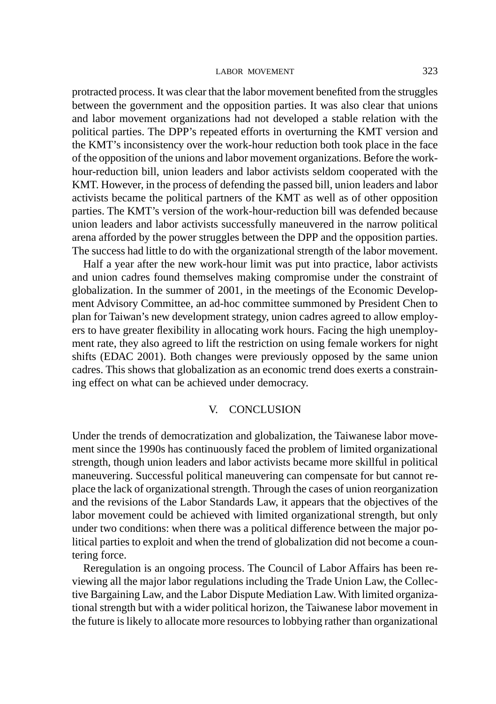#### LABOR MOVEMENT 323

protracted process. It was clear that the labor movement benefited from the struggles between the government and the opposition parties. It was also clear that unions and labor movement organizations had not developed a stable relation with the political parties. The DPP's repeated efforts in overturning the KMT version and the KMT's inconsistency over the work-hour reduction both took place in the face of the opposition of the unions and labor movement organizations. Before the workhour-reduction bill, union leaders and labor activists seldom cooperated with the KMT. However, in the process of defending the passed bill, union leaders and labor activists became the political partners of the KMT as well as of other opposition parties. The KMT's version of the work-hour-reduction bill was defended because union leaders and labor activists successfully maneuvered in the narrow political arena afforded by the power struggles between the DPP and the opposition parties. The success had little to do with the organizational strength of the labor movement.

Half a year after the new work-hour limit was put into practice, labor activists and union cadres found themselves making compromise under the constraint of globalization. In the summer of 2001, in the meetings of the Economic Development Advisory Committee, an ad-hoc committee summoned by President Chen to plan for Taiwan's new development strategy, union cadres agreed to allow employers to have greater flexibility in allocating work hours. Facing the high unemployment rate, they also agreed to lift the restriction on using female workers for night shifts (EDAC 2001). Both changes were previously opposed by the same union cadres. This shows that globalization as an economic trend does exerts a constraining effect on what can be achieved under democracy.

### V. CONCLUSION

Under the trends of democratization and globalization, the Taiwanese labor movement since the 1990s has continuously faced the problem of limited organizational strength, though union leaders and labor activists became more skillful in political maneuvering. Successful political maneuvering can compensate for but cannot replace the lack of organizational strength. Through the cases of union reorganization and the revisions of the Labor Standards Law, it appears that the objectives of the labor movement could be achieved with limited organizational strength, but only under two conditions: when there was a political difference between the major political parties to exploit and when the trend of globalization did not become a countering force.

Reregulation is an ongoing process. The Council of Labor Affairs has been reviewing all the major labor regulations including the Trade Union Law, the Collective Bargaining Law, and the Labor Dispute Mediation Law. With limited organizational strength but with a wider political horizon, the Taiwanese labor movement in the future is likely to allocate more resources to lobbying rather than organizational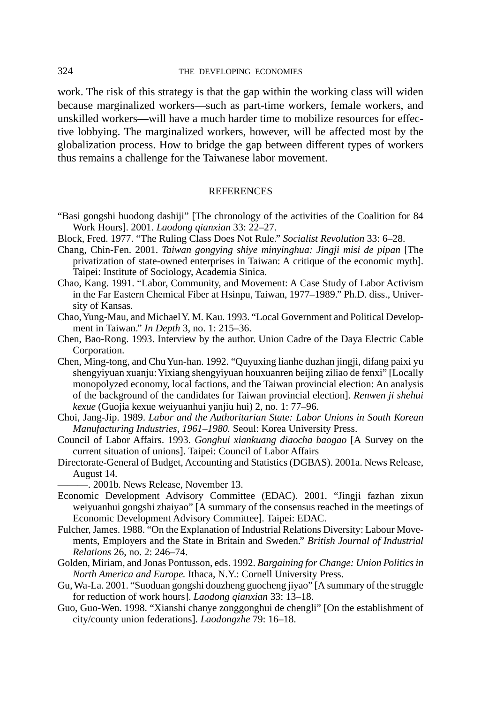work. The risk of this strategy is that the gap within the working class will widen because marginalized workers—such as part-time workers, female workers, and unskilled workers—will have a much harder time to mobilize resources for effective lobbying. The marginalized workers, however, will be affected most by the globalization process. How to bridge the gap between different types of workers thus remains a challenge for the Taiwanese labor movement.

#### **REFERENCES**

- "Basi gongshi huodong dashiji" [The chronology of the activities of the Coalition for 84 Work Hours]. 2001. *Laodong qianxian* 33: 22–27.
- Block, Fred. 1977. "The Ruling Class Does Not Rule." *Socialist Revolution* 33: 6–28.
- Chang, Chin-Fen. 2001. *Taiwan gongying shiye minyinghua: Jingji misi de pipan* [The privatization of state-owned enterprises in Taiwan: A critique of the economic myth]. Taipei: Institute of Sociology, Academia Sinica.
- Chao, Kang. 1991. "Labor, Community, and Movement: A Case Study of Labor Activism in the Far Eastern Chemical Fiber at Hsinpu, Taiwan, 1977–1989." Ph.D. diss., University of Kansas.
- Chao, Yung-Mau, and Michael Y. M. Kau. 1993. "Local Government and Political Development in Taiwan." *In Depth* 3, no. 1: 215–36.
- Chen, Bao-Rong. 1993. Interview by the author. Union Cadre of the Daya Electric Cable Corporation.
- Chen, Ming-tong, and Chu Yun-han. 1992. "Quyuxing lianhe duzhan jingji, difang paixi yu shengyiyuan xuanju: Yixiang shengyiyuan houxuanren beijing ziliao de fenxi" [Locally monopolyzed economy, local factions, and the Taiwan provincial election: An analysis of the background of the candidates for Taiwan provincial election]. *Renwen ji shehui kexue* (Guojia kexue weiyuanhui yanjiu hui) 2, no. 1: 77–96.
- Choi, Jang-Jip. 1989. *Labor and the Authoritarian State: Labor Unions in South Korean Manufacturing Industries, 1961–1980.* Seoul: Korea University Press.
- Council of Labor Affairs. 1993. *Gonghui xiankuang diaocha baogao* [A Survey on the current situation of unions]. Taipei: Council of Labor Affairs
- Directorate-General of Budget, Accounting and Statistics (DGBAS). 2001a. News Release, August 14.
	- ———. 2001b. News Release, November 13.
- Economic Development Advisory Committee (EDAC). 2001. "Jingji fazhan zixun weiyuanhui gongshi zhaiyao" [A summary of the consensus reached in the meetings of Economic Development Advisory Committee]. Taipei: EDAC.
- Fulcher, James. 1988. "On the Explanation of Industrial Relations Diversity: Labour Movements, Employers and the State in Britain and Sweden." *British Journal of Industrial Relations* 26, no. 2: 246–74.
- Golden, Miriam, and Jonas Pontusson, eds. 1992. *Bargaining for Change: Union Politics in North America and Europe.* Ithaca, N.Y.: Cornell University Press.
- Gu, Wa-La. 2001. "Suoduan gongshi douzheng guocheng jiyao" [A summary of the struggle for reduction of work hours]. *Laodong qianxian* 33: 13–18.
- Guo, Guo-Wen. 1998. "Xianshi chanye zonggonghui de chengli" [On the establishment of city/county union federations]. *Laodongzhe* 79: 16–18.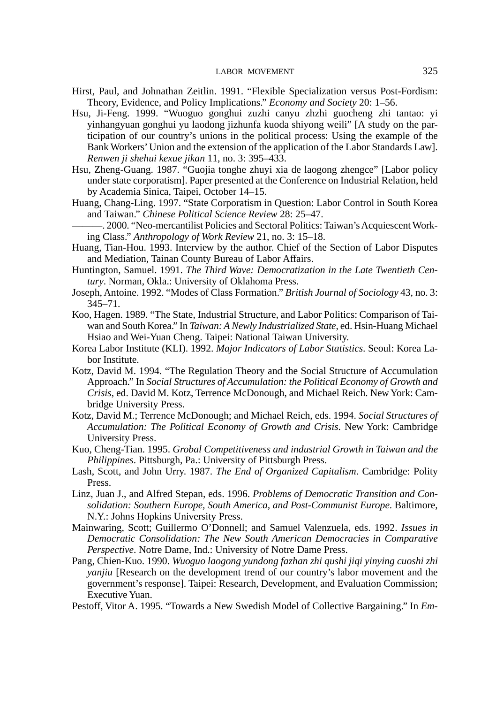- Hirst, Paul, and Johnathan Zeitlin. 1991. "Flexible Specialization versus Post-Fordism: Theory, Evidence, and Policy Implications." *Economy and Society* 20: 1–56.
- Hsu, Ji-Feng. 1999. "Wuoguo gonghui zuzhi canyu zhzhi guocheng zhi tantao: yi yinhangyuan gonghui yu laodong jizhunfa kuoda shiyong weili" [A study on the participation of our country's unions in the political process: Using the example of the Bank Workers' Union and the extension of the application of the Labor Standards Law]. *Renwen ji shehui kexue jikan* 11, no. 3: 395–433.
- Hsu, Zheng-Guang. 1987. "Guojia tonghe zhuyi xia de laogong zhengce" [Labor policy under state corporatism]. Paper presented at the Conference on Industrial Relation, held by Academia Sinica, Taipei, October 14–15.
- Huang, Chang-Ling. 1997. "State Corporatism in Question: Labor Control in South Korea and Taiwan." *Chinese Political Science Review* 28: 25–47.
- ———. 2000. "Neo-mercantilist Policies and Sectoral Politics: Taiwan's Acquiescent Working Class." *Anthropology of Work Review* 21, no. 3: 15–18.
- Huang, Tian-Hou. 1993. Interview by the author. Chief of the Section of Labor Disputes and Mediation, Tainan County Bureau of Labor Affairs.
- Huntington, Samuel. 1991. *The Third Wave: Democratization in the Late Twentieth Century*. Norman, Okla.: University of Oklahoma Press.
- Joseph, Antoine. 1992. "Modes of Class Formation." *British Journal of Sociology* 43, no. 3: 345–71.
- Koo, Hagen. 1989. "The State, Industrial Structure, and Labor Politics: Comparison of Taiwan and South Korea." In *Taiwan: A Newly Industrialized State*, ed. Hsin-Huang Michael Hsiao and Wei-Yuan Cheng. Taipei: National Taiwan University.
- Korea Labor Institute (KLI). 1992. *Major Indicators of Labor Statistics*. Seoul: Korea Labor Institute.
- Kotz, David M. 1994. "The Regulation Theory and the Social Structure of Accumulation Approach." In *Social Structures of Accumulation: the Political Economy of Growth and Crisis*, ed. David M. Kotz, Terrence McDonough, and Michael Reich. New York: Cambridge University Press.
- Kotz, David M.; Terrence McDonough; and Michael Reich, eds. 1994. *Social Structures of Accumulation: The Political Economy of Growth and Crisis*. New York: Cambridge University Press.
- Kuo, Cheng-Tian. 1995. *Grobal Competitiveness and industrial Growth in Taiwan and the Philippines*. Pittsburgh, Pa.: University of Pittsburgh Press.
- Lash, Scott, and John Urry. 1987. *The End of Organized Capitalism*. Cambridge: Polity Press.
- Linz, Juan J., and Alfred Stepan, eds. 1996. *Problems of Democratic Transition and Consolidation: Southern Europe, South America, and Post-Communist Europe*. Baltimore, N.Y.: Johns Hopkins University Press.
- Mainwaring, Scott; Guillermo O'Donnell; and Samuel Valenzuela, eds. 1992. *Issues in Democratic Consolidation: The New South American Democracies in Comparative Perspective*. Notre Dame, Ind.: University of Notre Dame Press.
- Pang, Chien-Kuo. 1990. *Wuoguo laogong yundong fazhan zhi qushi jiqi yinying cuoshi zhi yanjiu* [Research on the development trend of our country's labor movement and the government's response]. Taipei: Research, Development, and Evaluation Commission; Executive Yuan.
- Pestoff, Vitor A. 1995. "Towards a New Swedish Model of Collective Bargaining." In *Em-*